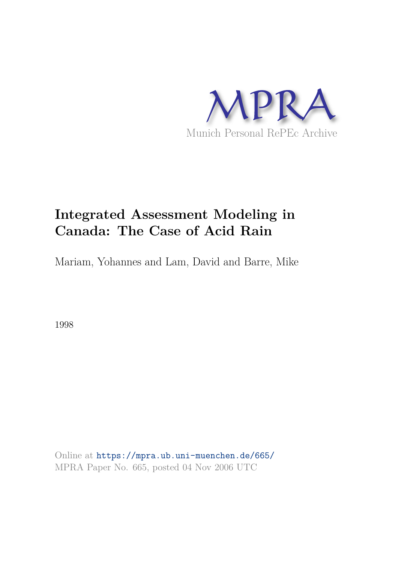

# **Integrated Assessment Modeling in Canada: The Case of Acid Rain**

Mariam, Yohannes and Lam, David and Barre, Mike

1998

Online at https://mpra.ub.uni-muenchen.de/665/ MPRA Paper No. 665, posted 04 Nov 2006 UTC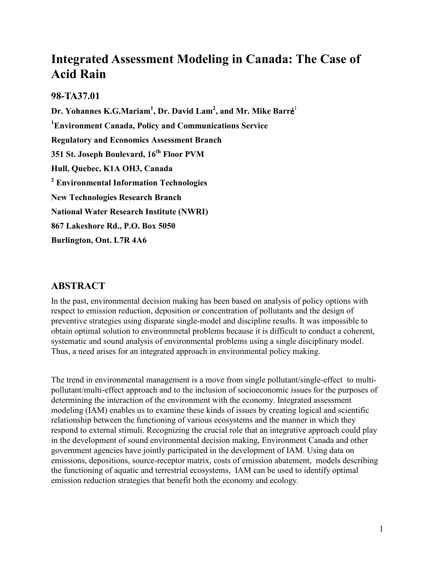## Integrated Assessment Modeling in Canada: The Case of **Acid Rain**

#### 98-TA37.01

Dr. Yohannes K.G.Mariam<sup>1</sup>, Dr. David Lam<sup>2</sup>, and Mr. Mike Barré<sup>1</sup> <sup>1</sup>Environment Canada, Policy and Communications Service **Regulatory and Economics Assessment Branch** 351 St. Joseph Boulevard, 16<sup>th</sup> Floor PVM Hull, Quebec, K1A OH3, Canada <sup>2</sup> Environmental Information Technologies **New Technologies Research Branch National Water Research Institute (NWRI)** 867 Lakeshore Rd., P.O. Box 5050 Burlington, Ont. L7R 4A6

## **ABSTRACT**

In the past, environmental decision making has been based on analysis of policy options with respect to emission reduction, deposition or concentration of pollutants and the design of preventive strategies using disparate single-model and discipline results. It was impossible to obtain optimal solution to environmetal problems because it is difficult to conduct a coherent, systematic and sound analysis of environmental problems using a single disciplinary model. Thus, a need arises for an integrated approach in environmental policy making.

The trend in environmental management is a move from single pollutant/single-effect to multipollutant/multi-effect approach and to the inclusion of socioeconomic issues for the purposes of determining the interaction of the environment with the economy. Integrated assessment modeling (IAM) enables us to examine these kinds of issues by creating logical and scientific relationship between the functioning of various ecosystems and the manner in which they respond to external stimuli. Recognizing the crucial role that an integrative approach could play in the development of sound environmental decision making, Environment Canada and other government agencies have jointly participated in the development of IAM. Using data on emissions, depositions, source-receptor matrix, costs of emission abatement, models describing the functioning of aquatic and terrestrial ecosystems. IAM can be used to identify optimal emission reduction strategies that benefit both the economy and ecology.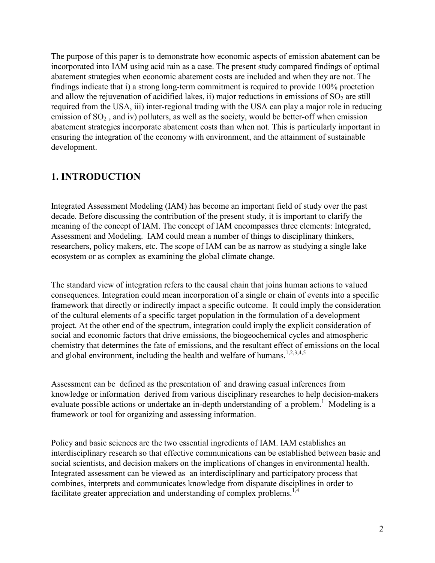The purpose of this paper is to demonstrate how economic aspects of emission abatement can be incorporated into IAM using acid rain as a case. The present study compared findings of optimal abatement strategies when economic abatement costs are included and when they are not. The findings indicate that i) a strong long-term commitment is required to provide 100% proetction and allow the rejuvenation of acidified lakes, ii) major reductions in emissions of  $SO<sub>2</sub>$  are still required from the USA, iii) inter-regional trading with the USA can play a major role in reducing emission of  $SO_2$ , and iv) polluters, as well as the society, would be better-off when emission abatement strategies incorporate abatement costs than when not. This is particularly important in ensuring the integration of the economy with environment, and the attainment of sustainable development.

#### **1. INTRODUCTION**

Integrated Assessment Modeling (IAM) has become an important field of study over the past decade. Before discussing the contribution of the present study, it is important to clarify the meaning of the concept of IAM. The concept of IAM encompasses three elements: Integrated, Assessment and Modeling. IAM could mean a number of things to disciplinary thinkers, researchers, policy makers, etc. The scope of IAM can be as narrow as studying a single lake ecosystem or as complex as examining the global climate change.

The standard view of integration refers to the causal chain that joins human actions to valued consequences. Integration could mean incorporation of a single or chain of events into a specific framework that directly or indirectly impact a specific outcome. It could imply the consideration of the cultural elements of a specific target population in the formulation of a development project. At the other end of the spectrum, integration could imply the explicit consideration of social and economic factors that drive emissions, the biogeochemical cycles and atmospheric chemistry that determines the fate of emissions, and the resultant effect of emissions on the local and global environment, including the health and welfare of humans.<sup>1,2,3,4,5</sup>

Assessment can be defined as the presentation of and drawing casual inferences from knowledge or information derived from various disciplinary researches to help decision-makers evaluate possible actions or undertake an in-depth understanding of a problem.<sup>1</sup> Modeling is a framework or tool for organizing and assessing information.

Policy and basic sciences are the two essential ingredients of IAM. IAM establishes an interdisciplinary research so that effective communications can be established between basic and social scientists, and decision makers on the implications of changes in environmental health. Integrated assessment can be viewed as an interdisciplinary and participatory process that combines, interprets and communicates knowledge from disparate disciplines in order to facilitate greater appreciation and understanding of complex problems.<sup>1,4</sup>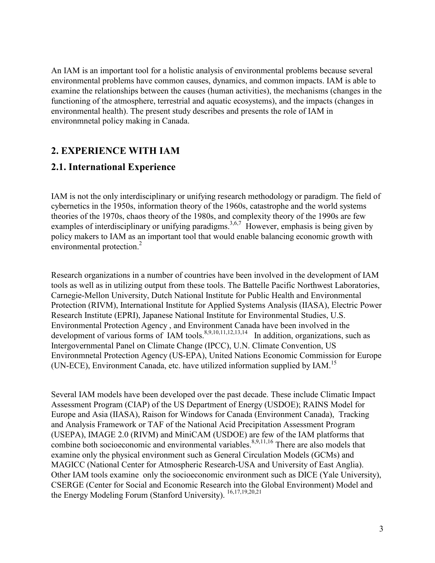An IAM is an important tool for a holistic analysis of environmental problems because several environmental problems have common causes, dynamics, and common impacts. IAM is able to examine the relationships between the causes (human activities), the mechanisms (changes in the functioning of the atmosphere, terrestrial and aquatic ecosystems), and the impacts (changes in environmental health). The present study describes and presents the role of IAM in environmetal policy making in Canada.

## 2. EXPERIENCE WITH IAM

## 2.1. International Experience

IAM is not the only interdisciplinary or unifying research methodology or paradigm. The field of cybernetics in the 1950s, information theory of the 1960s, catastrophe and the world systems theories of the 1970s, chaos theory of the 1980s, and complexity theory of the 1990s are few examples of interdisciplinary or unifying paradigms.<sup>3,6,7</sup> However, emphasis is being given by policy makers to IAM as an important tool that would enable balancing economic growth with environmental protection.<sup>2</sup>

Research organizations in a number of countries have been involved in the development of IAM tools as well as in utilizing output from these tools. The Battelle Pacific Northwest Laboratories, Carnegie-Mellon University, Dutch National Institute for Public Health and Environmental Protection (RIVM), International Institute for Applied Systems Analysis (IIASA), Electric Power Research Institute (EPRI), Japanese National Institute for Environmental Studies, U.S. Environmental Protection Agency, and Environment Canada have been involved in the development of various forms of IAM tools.<sup>8,9,10,11,12,13,14</sup> In addition, organizations, such as Intergovernmental Panel on Climate Change (IPCC), U.N. Climate Convention, US Environmetal Protection Agency (US-EPA), United Nations Economic Commission for Europe (UN-ECE), Environment Canada, etc. have utilized information supplied by IAM.<sup>15</sup>

Several IAM models have been developed over the past decade. These include Climatic Impact Assessment Program (CIAP) of the US Department of Energy (USDOE); RAINS Model for Europe and Asia (IIASA), Raison for Windows for Canada (Environment Canada), Tracking and Analysis Framework or TAF of the National Acid Precipitation Assessment Program (USEPA), IMAGE 2.0 (RIVM) and MiniCAM (USDOE) are few of the IAM platforms that combine both socioeconomic and environmental variables.<sup>8,9,11,16</sup> There are also models that examine only the physical environment such as General Circulation Models (GCMs) and MAGICC (National Center for Atmospheric Research-USA and University of East Anglia). Other IAM tools examine only the socioeconomic environment such as DICE (Yale University), CSERGE (Center for Social and Economic Research into the Global Environment) Model and the Energy Modeling Forum (Stanford University). <sup>16,17,19,20,21</sup>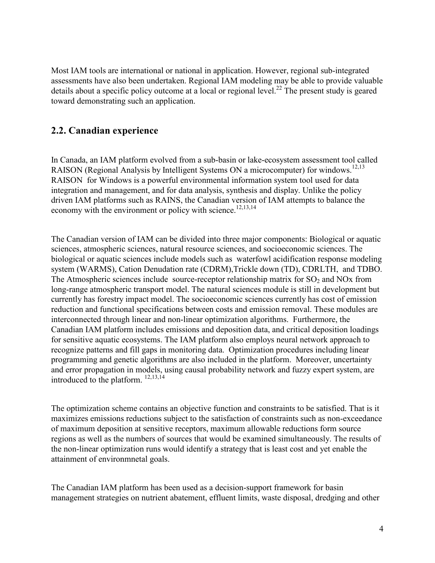Most IAM tools are international or national in application. However, regional sub-integrated assessments have also been undertaken. Regional IAM modeling may be able to provide valuable details about a specific policy outcome at a local or regional level.<sup>22</sup> The present study is geared toward demonstrating such an application.

## 2.2. Canadian experience

In Canada, an IAM platform evolved from a sub-basin or lake-ecosystem assessment tool called RAISON (Regional Analysis by Intelligent Systems ON a microcomputer) for windows.<sup>12,13</sup> RAISON for Windows is a powerful environmental information system tool used for data integration and management, and for data analysis, synthesis and display. Unlike the policy driven IAM platforms such as RAINS, the Canadian version of IAM attempts to balance the economy with the environment or policy with science.<sup>12,13,14</sup>

The Canadian version of IAM can be divided into three major components: Biological or aquatic sciences, atmospheric sciences, natural resource sciences, and socioeconomic sciences. The biological or aquatic sciences include models such as waterfowl acidification response modeling system (WARMS), Cation Denudation rate (CDRM), Trickle down (TD), CDRLTH, and TDBO. The Atmospheric sciences include source-receptor relationship matrix for  $SO_2$  and  $NOx$  from long-range atmospheric transport model. The natural sciences module is still in development but currently has forestry impact model. The socioeconomic sciences currently has cost of emission reduction and functional specifications between costs and emission removal. These modules are interconnected through linear and non-linear optimization algorithms. Furthermore, the Canadian IAM platform includes emissions and deposition data, and critical deposition loadings for sensitive aquatic ecosystems. The IAM platform also employs neural network approach to recognize patterns and fill gaps in monitoring data. Optimization procedures including linear programming and genetic algorithms are also included in the platform. Moreover, uncertainty and error propagation in models, using causal probability network and fuzzy expert system, are introduced to the platform.  $^{12,13,14}$ 

The optimization scheme contains an objective function and constraints to be satisfied. That is it maximizes emissions reductions subject to the satisfaction of constraints such as non-exceedance of maximum deposition at sensitive receptors, maximum allowable reductions form source regions as well as the numbers of sources that would be examined simultaneously. The results of the non-linear optimization runs would identify a strategy that is least cost and yet enable the attainment of environmetal goals.

The Canadian IAM platform has been used as a decision-support framework for basin management strategies on nutrient abatement, effluent limits, waste disposal, dredging and other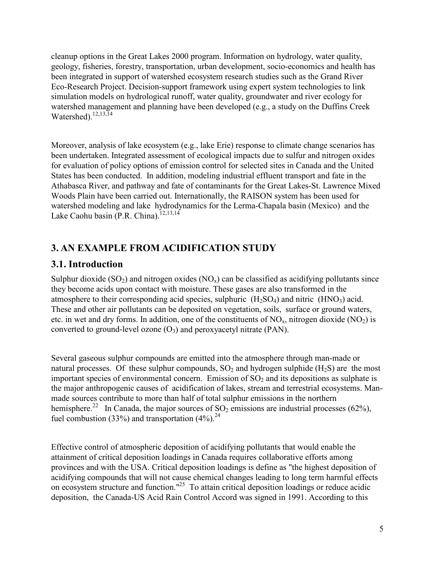cleanup options in the Great Lakes 2000 program. Information on hydrology, water quality, geology, fisheries, forestry, transportation, urban development, socio-economics and health has been integrated in support of watershed ecosystem research studies such as the Grand River Eco-Research Project. Decision-support framework using expert system technologies to link simulation models on hydrological runoff, water quality, groundwater and river ecology for watershed management and planning have been developed (e.g., a study on the Duffins Creek Watershed).<sup>12,13,14</sup>

Moreover, analysis of lake ecosystem (e.g., lake Erie) response to climate change scenarios has been undertaken. Integrated assessment of ecological impacts due to sulfur and nitrogen oxides for evaluation of policy options of emission control for selected sites in Canada and the United States has been conducted. In addition, modeling industrial effluent transport and fate in the Athabasca River, and pathway and fate of contaminants for the Great Lakes-St. Lawrence Mixed Woods Plain have been carried out. Internationally, the RAISON system has been used for watershed modeling and lake hydrodynamics for the Lerma-Chapala basin (Mexico) and the Lake Caohu basin (P.R. China).<sup>12,13,14</sup>

## **3. AN EXAMPLE FROM ACIDIFICATION STUDY**

## 3.1. Introduction

Sulphur dioxide  $(SO_2)$  and nitrogen oxides  $(NO_x)$  can be classified as acidifying pollutants since they become acids upon contact with moisture. These gases are also transformed in the atmosphere to their corresponding acid species, sulphuric  $(H_2SO_4)$  and nitric  $(HNO_3)$  acid. These and other air pollutants can be deposited on vegetation, soils, surface or ground waters, etc. in wet and dry forms. In addition, one of the constituents of  $NO_x$ , nitrogen dioxide  $(NO_2)$  is converted to ground-level ozone  $(O_3)$  and peroxyacetyl nitrate (PAN).

Several gaseous sulphur compounds are emitted into the atmosphere through man-made or natural processes. Of these sulphur compounds,  $SO_2$  and hydrogen sulphide ( $H_2S$ ) are the most important species of environmental concern. Emission of  $SO<sub>2</sub>$  and its depositions as sulphate is the major anthropogenic causes of acidification of lakes, stream and terrestrial ecosystems. Manmade sources contribute to more than half of total sulphur emissions in the northern hemisphere.<sup>22</sup> In Canada, the major sources of SO<sub>2</sub> emissions are industrial processes (62%), fuel combustion (33%) and transportation (4%).<sup>24</sup>

Effective control of atmospheric deposition of acidifying pollutants that would enable the attainment of critical deposition loadings in Canada requires collaborative efforts among provinces and with the USA. Critical deposition loadings is define as "the highest deposition of acidifying compounds that will not cause chemical changes leading to long term harmful effects on ecosystem structure and function."<sup>25</sup> To attain critical deposition loadings or reduce acidic deposition, the Canada-US Acid Rain Control Accord was signed in 1991. According to this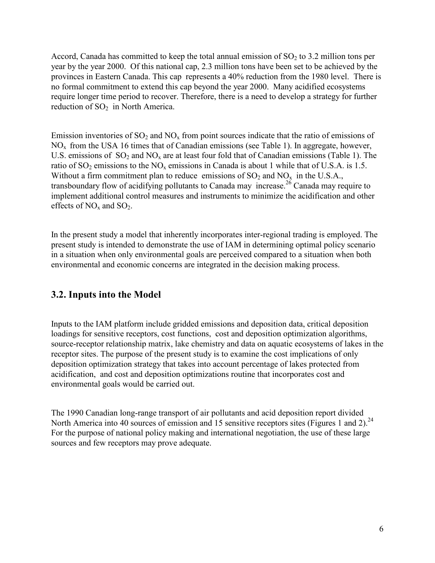Accord, Canada has committed to keep the total annual emission of  $SO_2$  to 3.2 million tons per year by the year 2000. Of this national cap, 2.3 million tons have been set to be achieved by the provinces in Eastern Canada. This cap represents a 40% reduction from the 1980 level. There is no formal commitment to extend this cap beyond the year 2000. Many acidified ecosystems require longer time period to recover. Therefore, there is a need to develop a strategy for further reduction of SO<sub>2</sub> in North America.

Emission inventories of  $SO_2$  and  $NO_x$  from point sources indicate that the ratio of emissions of  $NO<sub>x</sub>$  from the USA 16 times that of Canadian emissions (see Table 1). In aggregate, however, U.S. emissions of  $SO_2$  and  $NO_x$  are at least four fold that of Canadian emissions (Table 1). The ratio of  $SO_2$  emissions to the  $NO_x$  emissions in Canada is about 1 while that of U.S.A. is 1.5. Without a firm commitment plan to reduce emissions of  $SO_2$  and  $NO_x$  in the U.S.A., transboundary flow of acidifying pollutants to Canada may increase.<sup>26</sup> Canada may require to implement additional control measures and instruments to minimize the acidification and other effects of  $NO<sub>x</sub>$  and  $SO<sub>2</sub>$ .

In the present study a model that inherently incorporates inter-regional trading is employed. The present study is intended to demonstrate the use of IAM in determining optimal policy scenario in a situation when only environmental goals are perceived compared to a situation when both environmental and economic concerns are integrated in the decision making process.

## 3.2. Inputs into the Model

Inputs to the IAM platform include gridded emissions and deposition data, critical deposition loadings for sensitive receptors, cost functions, cost and deposition optimization algorithms, source-receptor relationship matrix, lake chemistry and data on aquatic ecosystems of lakes in the receptor sites. The purpose of the present study is to examine the cost implications of only deposition optimization strategy that takes into account percentage of lakes protected from acidification, and cost and deposition optimizations routine that incorporates cost and environmental goals would be carried out.

The 1990 Canadian long-range transport of air pollutants and acid deposition report divided North America into 40 sources of emission and 15 sensitive receptors sites (Figures 1 and 2).<sup>24</sup> For the purpose of national policy making and international negotiation, the use of these large sources and few receptors may prove adequate.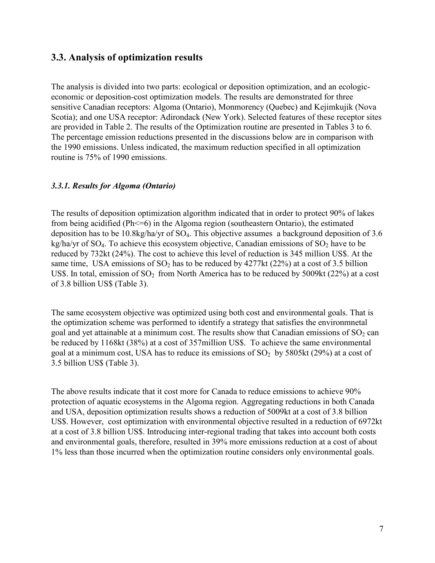#### 3.3. Analysis of optimization results

The analysis is divided into two parts: ecological or deposition optimization, and an ecologiceconomic or deposition-cost optimization models. The results are demonstrated for three sensitive Canadian receptors: Algoma (Ontario), Monmorency (Quebec) and Kejimkujik (Nova Scotia); and one USA receptor: Adirondack (New York). Selected features of these receptor sites are provided in Table 2. The results of the Optimization routine are presented in Tables 3 to 6. The percentage emission reductions presented in the discussions below are in comparison with the 1990 emissions. Unless indicated, the maximum reduction specified in all optimization routine is 75% of 1990 emissions.

#### 3.3.1. Results for Algoma (Ontario)

The results of deposition optimization algorithm indicated that in order to protect 90% of lakes from being acidified (Ph<=6) in the Algoma region (southeastern Ontario), the estimated deposition has to be 10.8kg/ha/yr of  $SO_4$ . This objective assumes a background deposition of 3.6  $\text{kg/ha/yr}$  of SO<sub>4</sub>. To achieve this ecosystem objective, Canadian emissions of SO<sub>2</sub> have to be reduced by 732kt (24%). The cost to achieve this level of reduction is 345 million US\$. At the same time, USA emissions of  $SO_2$  has to be reduced by 4277kt (22%) at a cost of 3.5 billion US\$. In total, emission of  $SO_2$  from North America has to be reduced by 5009kt (22%) at a cost of 3.8 billion US\$ (Table 3).

The same ecosystem objective was optimized using both cost and environmental goals. That is the optimization scheme was performed to identify a strategy that satisfies the environmental goal and yet attainable at a minimum cost. The results show that Canadian emissions of  $SO_2$  can be reduced by 1168kt (38%) at a cost of 357 million US\$. To achieve the same environmental goal at a minimum cost, USA has to reduce its emissions of  $SO_2$  by 5805kt (29%) at a cost of 3.5 billion US\$ (Table 3).

The above results indicate that it cost more for Canada to reduce emissions to achieve 90% protection of aquatic ecosystems in the Algoma region. Aggregating reductions in both Canada and USA, deposition optimization results shows a reduction of 5009kt at a cost of 3.8 billion US\$. However, cost optimization with environmental objective resulted in a reduction of 6972kt at a cost of 3.8 billion US\$. Introducing inter-regional trading that takes into account both costs and environmental goals, therefore, resulted in 39% more emissions reduction at a cost of about 1% less than those incurred when the optimization routine considers only environmental goals.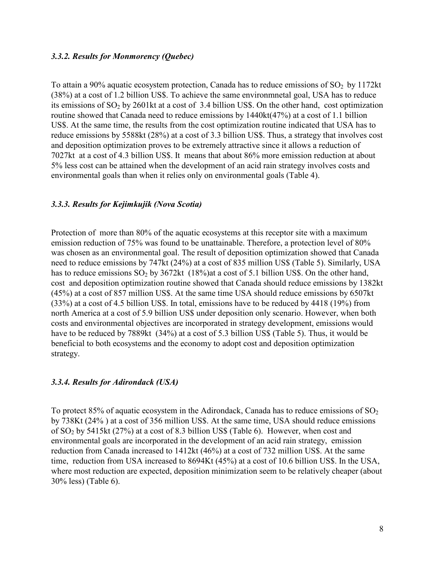#### 3.3.2. Results for Monmorency (Ouebec)

To attain a 90% aquatic ecosystem protection, Canada has to reduce emissions of  $SO_2$  by 1172kt (38%) at a cost of 1.2 billion US\$. To achieve the same environmental goal, USA has to reduce its emissions of  $SO_2$  by 2601kt at a cost of 3.4 billion US\$. On the other hand, cost optimization routine showed that Canada need to reduce emissions by 1440kt(47%) at a cost of 1.1 billion US\$. At the same time, the results from the cost optimization routine indicated that USA has to reduce emissions by 5588kt (28%) at a cost of 3.3 billion US\$. Thus, a strategy that involves cost and deposition optimization proves to be extremely attractive since it allows a reduction of 7027kt at a cost of 4.3 billion US\$. It means that about 86% more emission reduction at about 5% less cost can be attained when the development of an acid rain strategy involves costs and environmental goals than when it relies only on environmental goals (Table 4).

#### 3.3.3. Results for Kejimkujik (Nova Scotia)

Protection of more than 80% of the aquatic ecosystems at this receptor site with a maximum emission reduction of 75% was found to be unattainable. Therefore, a protection level of 80% was chosen as an environmental goal. The result of deposition optimization showed that Canada need to reduce emissions by 747kt (24%) at a cost of 835 million US\$ (Table 5). Similarly, USA has to reduce emissions  $SO_2$  by 3672kt (18%) at a cost of 5.1 billion US\$. On the other hand, cost and deposition optimization routine showed that Canada should reduce emissions by 1382kt (45%) at a cost of 857 million US\$. At the same time USA should reduce emissions by 6507kt (33%) at a cost of 4.5 billion US\$. In total, emissions have to be reduced by 4418 (19%) from north America at a cost of 5.9 billion US\$ under deposition only scenario. However, when both costs and environmental objectives are incorporated in strategy development, emissions would have to be reduced by 7889kt (34%) at a cost of 5.3 billion US\$ (Table 5). Thus, it would be beneficial to both ecosystems and the economy to adopt cost and deposition optimization strategy.

#### 3.3.4. Results for Adirondack (USA)

To protect 85% of aquatic ecosystem in the Adirondack, Canada has to reduce emissions of  $SO_2$ by 738Kt (24%) at a cost of 356 million US\$. At the same time, USA should reduce emissions of  $SO_2$  by 5415kt (27%) at a cost of 8.3 billion US\$ (Table 6). However, when cost and environmental goals are incorporated in the development of an acid rain strategy, emission reduction from Canada increased to 1412kt (46%) at a cost of 732 million US\$. At the same time, reduction from USA increased to 8694Kt (45%) at a cost of 10.6 billion US\$. In the USA, where most reduction are expected, deposition minimization seem to be relatively cheaper (about 30% less) (Table 6).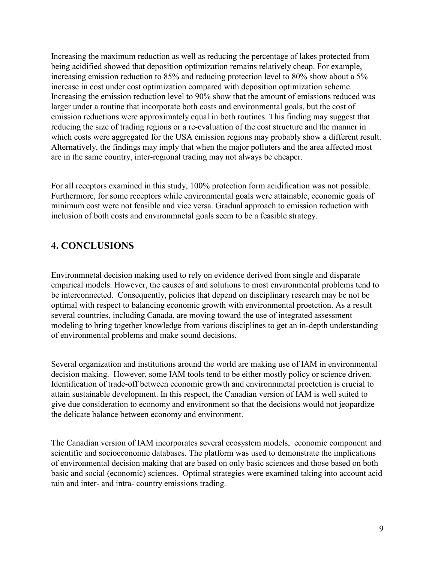Increasing the maximum reduction as well as reducing the percentage of lakes protected from being acidified showed that deposition optimization remains relatively cheap. For example, increasing emission reduction to 85% and reducing protection level to 80% show about a 5% increase in cost under cost optimization compared with deposition optimization scheme. Increasing the emission reduction level to 90% show that the amount of emissions reduced was larger under a routine that incorporate both costs and environmental goals, but the cost of emission reductions were approximately equal in both routines. This finding may suggest that reducing the size of trading regions or a re-evaluation of the cost structure and the manner in which costs were aggregated for the USA emission regions may probably show a different result. Alternatively, the findings may imply that when the major polluters and the area affected most are in the same country, inter-regional trading may not always be cheaper.

For all receptors examined in this study, 100% protection form acidification was not possible. Furthermore, for some receptors while environmental goals were attainable, economic goals of minimum cost were not feasible and vice versa. Gradual approach to emission reduction with inclusion of both costs and environmental goals seem to be a feasible strategy.

## **4. CONCLUSIONS**

Environmetal decision making used to rely on evidence derived from single and disparate empirical models. However, the causes of and solutions to most environmental problems tend to be interconnected. Consequently, policies that depend on disciplinary research may be not be optimal with respect to balancing economic growth with environmental proetction. As a result several countries, including Canada, are moving toward the use of integrated assessment modeling to bring together knowledge from various disciplines to get an in-depth understanding of environmental problems and make sound decisions.

Several organization and institutions around the world are making use of IAM in environmental decision making. However, some IAM tools tend to be either mostly policy or science driven. Identification of trade-off between economic growth and environmental proetction is crucial to attain sustainable development. In this respect, the Canadian version of IAM is well suited to give due consideration to economy and environment so that the decisions would not jeopardize the delicate balance between economy and environment.

The Canadian version of IAM incorporates several ecosystem models, economic component and scientific and socioeconomic databases. The platform was used to demonstrate the implications of environmental decision making that are based on only basic sciences and those based on both basic and social (economic) sciences. Optimal strategies were examined taking into account acid rain and inter- and intra- country emissions trading.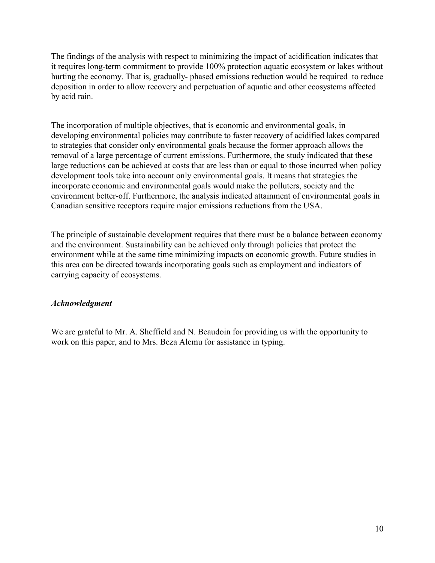The findings of the analysis with respect to minimizing the impact of acidification indicates that it requires long-term commitment to provide 100% protection aquatic ecosystem or lakes without hurting the economy. That is, gradually- phased emissions reduction would be required to reduce deposition in order to allow recovery and perpetuation of aquatic and other ecosystems affected by acid rain.

The incorporation of multiple objectives, that is economic and environmental goals, in developing environmental policies may contribute to faster recovery of acidified lakes compared to strategies that consider only environmental goals because the former approach allows the removal of a large percentage of current emissions. Furthermore, the study indicated that these large reductions can be achieved at costs that are less than or equal to those incurred when policy development tools take into account only environmental goals. It means that strategies the incorporate economic and environmental goals would make the polluters, society and the environment better-off. Furthermore, the analysis indicated attainment of environmental goals in Canadian sensitive receptors require major emissions reductions from the USA.

The principle of sustainable development requires that there must be a balance between economy and the environment. Sustainability can be achieved only through policies that protect the environment while at the same time minimizing impacts on economic growth. Future studies in this area can be directed towards incorporating goals such as employment and indicators of carrying capacity of ecosystems.

#### **Acknowledgment**

We are grateful to Mr. A. Sheffield and N. Beaudoin for providing us with the opportunity to work on this paper, and to Mrs. Beza Alemu for assistance in typing.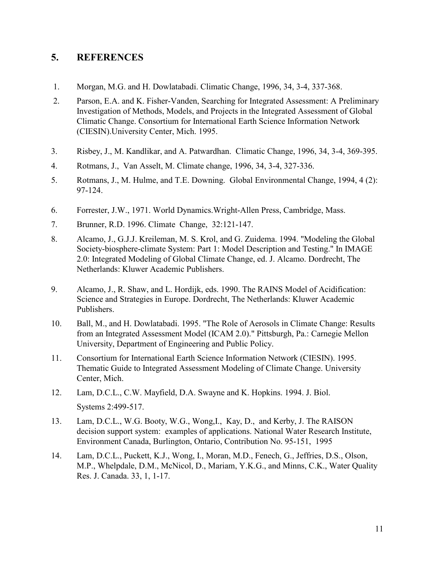#### 5. **REFERENCES**

- $1<sub>1</sub>$ Morgan, M.G. and H. Dowlatabadi. Climatic Change, 1996, 34, 3-4, 337-368.
- $2.$ Parson, E.A. and K. Fisher-Vanden, Searching for Integrated Assessment: A Preliminary Investigation of Methods, Models, and Projects in the Integrated Assessment of Global Climatic Change. Consortium for International Earth Science Information Network (CIESIN). University Center, Mich. 1995.
- $3<sub>1</sub>$ Risbey, J., M. Kandlikar, and A. Patwardhan. Climatic Change, 1996, 34, 3-4, 369-395.
- $\overline{4}$ . Rotmans, J., Van Asselt, M. Climate change, 1996, 34, 3-4, 327-336.
- $5<sub>1</sub>$ Rotmans, J., M. Hulme, and T.E. Downing. Global Environmental Change, 1994, 4 (2): 97-124.
- 6. Forrester, J.W., 1971. World Dynamics. Wright-Allen Press, Cambridge, Mass.
- 7. Brunner, R.D. 1996. Climate Change, 32:121-147.
- 8. Alcamo, J., G.J.J. Kreileman, M. S. Krol, and G. Zuidema. 1994. "Modeling the Global Society-biosphere-climate System: Part 1: Model Description and Testing." In IMAGE 2.0: Integrated Modeling of Global Climate Change, ed. J. Alcamo. Dordrecht, The Netherlands: Kluwer Academic Publishers.
- 9. Alcamo, J., R. Shaw, and L. Hordijk, eds. 1990. The RAINS Model of Acidification: Science and Strategies in Europe. Dordrecht, The Netherlands: Kluwer Academic Publishers.
- 10. Ball, M., and H. Dowlatabadi. 1995. "The Role of Aerosols in Climate Change: Results from an Integrated Assessment Model (ICAM 2.0)." Pittsburgh, Pa.: Carnegie Mellon University, Department of Engineering and Public Policy.
- 11. Consortium for International Earth Science Information Network (CIESIN). 1995. Thematic Guide to Integrated Assessment Modeling of Climate Change. University Center, Mich.
- 12. Lam, D.C.L., C.W. Mayfield, D.A. Swayne and K. Hopkins. 1994. J. Biol. Systems 2:499-517.
- 13. Lam, D.C.L., W.G. Booty, W.G., Wong, I., Kay, D., and Kerby, J. The RAISON decision support system: examples of applications. National Water Research Institute, Environment Canada, Burlington, Ontario, Contribution No. 95-151, 1995
- 14. Lam, D.C.L., Puckett, K.J., Wong, I., Moran, M.D., Fenech, G., Jeffries, D.S., Olson, M.P., Whelpdale, D.M., McNicol, D., Mariam, Y.K.G., and Minns, C.K., Water Quality Res. J. Canada. 33, 1, 1-17.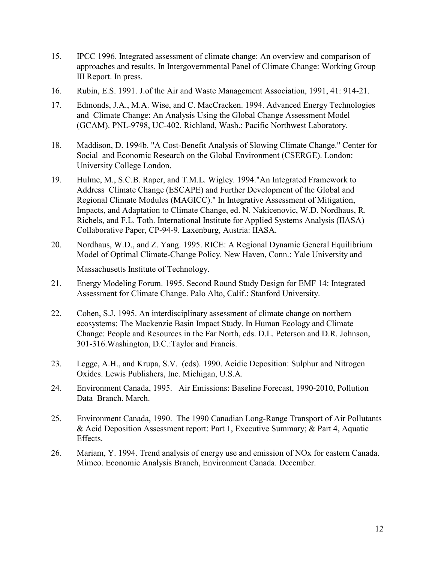- 15. IPCC 1996. Integrated assessment of climate change: An overview and comparison of approaches and results. In Intergovernmental Panel of Climate Change: Working Group III Report. In press.
- 16. Rubin, E.S. 1991. J.of the Air and Waste Management Association, 1991, 41: 914-21.
- 17. Edmonds, J.A., M.A. Wise, and C. MacCracken. 1994. Advanced Energy Technologies and Climate Change: An Analysis Using the Global Change Assessment Model (GCAM). PNL-9798, UC-402. Richland, Wash.: Pacific Northwest Laboratory.
- 18. Maddison, D. 1994b. "A Cost-Benefit Analysis of Slowing Climate Change." Center for Social and Economic Research on the Global Environment (CSERGE). London: University College London.
- 19. Hulme, M., S.C.B. Raper, and T.M.L. Wigley. 1994."An Integrated Framework to Address Climate Change (ESCAPE) and Further Development of the Global and Regional Climate Modules (MAGICC)." In Integrative Assessment of Mitigation, Impacts, and Adaptation to Climate Change, ed. N. Nakicenovic, W.D. Nordhaus, R. Richels, and F.L. Toth. International Institute for Applied Systems Analysis (IIASA) Collaborative Paper, CP-94-9. Laxenburg, Austria: IIASA.
- Nordhaus, W.D., and Z. Yang. 1995. RICE: A Regional Dynamic General Equilibrium 20. Model of Optimal Climate-Change Policy. New Haven, Conn.: Yale University and Massachusetts Institute of Technology.
- 21. Energy Modeling Forum. 1995. Second Round Study Design for EMF 14: Integrated Assessment for Climate Change. Palo Alto, Calif.: Stanford University.
- 22. Cohen, S.J. 1995. An interdisciplinary assessment of climate change on northern ecosystems: The Mackenzie Basin Impact Study. In Human Ecology and Climate Change: People and Resources in the Far North, eds. D.L. Peterson and D.R. Johnson, 301-316. Washington, D.C.: Taylor and Francis.
- 23. Legge, A.H., and Krupa, S.V. (eds). 1990. Acidic Deposition: Sulphur and Nitrogen Oxides. Lewis Publishers, Inc. Michigan, U.S.A.
- 24. Environment Canada, 1995. Air Emissions: Baseline Forecast, 1990-2010, Pollution Data Branch, March.
- 25. Environment Canada, 1990. The 1990 Canadian Long-Range Transport of Air Pollutants & Acid Deposition Assessment report: Part 1, Executive Summary; & Part 4, Aquatic Effects.
- 26. Mariam, Y. 1994. Trend analysis of energy use and emission of NO<sub>x</sub> for eastern Canada. Mimeo. Economic Analysis Branch, Environment Canada. December.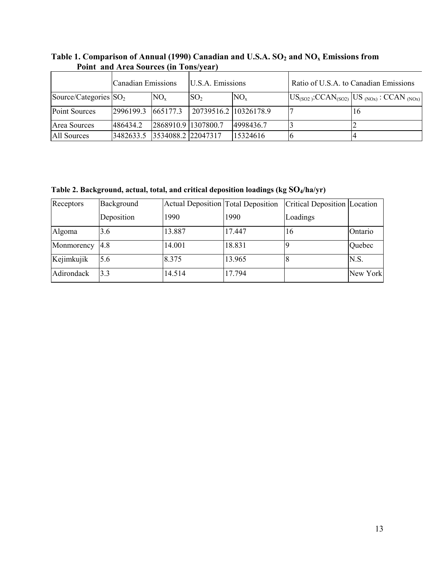|                          | <b>Canadian Emissions</b> |                     | U.S.A. Emissions      |            | Ratio of U.S.A. to Canadian Emissions |                                                                                                         |  |
|--------------------------|---------------------------|---------------------|-----------------------|------------|---------------------------------------|---------------------------------------------------------------------------------------------------------|--|
| Source/Categories $SO_2$ |                           | $NO_{x}$            | SO <sub>2</sub>       | $NO_{x}$   |                                       | $\left[\text{US}_{(SO2)}$ :CCAN <sub>(SO2)</sub> $\left[\text{US}_{(NOx)} : \text{CCAN}_{(NOx)}\right]$ |  |
| Point Sources            | 2996199.3                 | 665177.3            | 20739516.2 10326178.9 |            |                                       | 16                                                                                                      |  |
| Area Sources             | 486434.2                  | 2868910.9 1307800.7 |                       | 14998436.7 |                                       |                                                                                                         |  |
| All Sources              | 3482633.5                 | 3534088.2 22047317  |                       | 15324616   | l b                                   |                                                                                                         |  |

# Table 1. Comparison of Annual (1990) Canadian and U.S.A. SO<sub>2</sub> and NO<sub>x</sub> Emissions from<br>Point and Area Sources (in Tons/year)

Table 2. Background, actual, total, and critical deposition loadings (kg SO4/ha/yr)

| Receptors  | Background | <b>Actual Deposition Total Deposition</b> |        | Critical Deposition Location |          |
|------------|------------|-------------------------------------------|--------|------------------------------|----------|
|            | Deposition | 1990                                      | 1990   | Loadings                     |          |
| Algoma     | 3.6        | 13.887                                    | 17.447 | 16                           | Ontario  |
| Monmorency | 4.8        | 14.001                                    | 18.831 |                              | Quebec   |
| Kejimkujik | 5.6        | 8.375                                     | 13.965 |                              | N.S.     |
| Adirondack | 3.3        | 14.514                                    | 17.794 |                              | New York |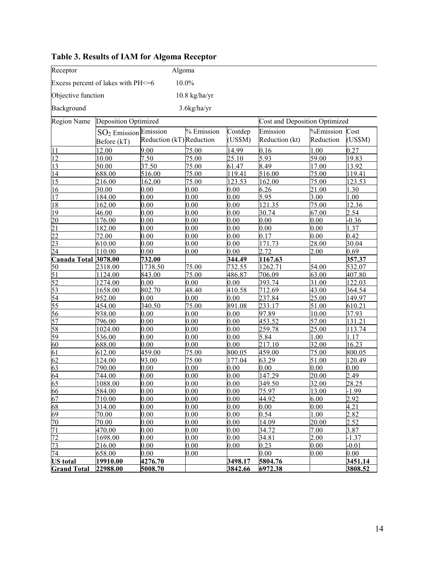| Receptor                                    |                             | Algoma                   |                    |         |                               |              |         |  |
|---------------------------------------------|-----------------------------|--------------------------|--------------------|---------|-------------------------------|--------------|---------|--|
| 10.0%<br>Excess percent of lakes with PH<=6 |                             |                          |                    |         |                               |              |         |  |
| Objective function<br>$10.8$ kg/ha/yr       |                             |                          |                    |         |                               |              |         |  |
| Background                                  |                             |                          | $3.6$ kg/ha/yr     |         |                               |              |         |  |
| <b>Region Name</b>                          | <b>Deposition Optimized</b> |                          |                    |         | Cost and Deposition Optimized |              |         |  |
|                                             | $SO2$ Emission Emission     |                          | % Emission         | Costdep | Emission                      | $%$ Emission | Cost    |  |
|                                             | Before (kT)                 | Reduction (kT) Reduction |                    | (US\$M) | Reduction (kt)                | Reduction    | (US\$M) |  |
| 11                                          | 12.00                       | 9.00                     | 75.00              | 14.99   | 0.16                          | 1.00         | 0.27    |  |
| $\overline{12}$                             | 10.00                       | 7.50                     | 75.00              | 25.10   | 5.93                          | 59.00        | 19.83   |  |
| 13                                          | 50.00                       | 37.50                    | 75.00              | 61.47   | 8.49                          | 17.00        | 13.92   |  |
| 14                                          | 688.00                      | 516.00                   | $\overline{7}5.00$ | 119.41  | 516.00                        | 75.00        | 119.41  |  |
| 15                                          | 216.00                      | 162.00                   | 75.00              | 123.53  | 162.00                        | 75.00        | 123.53  |  |
| 16                                          | 30.00                       | 0.00                     | 0.00               | 0.00    | 6.26                          | 21.00        | 1.30    |  |
| $\overline{17}$                             | 184.00                      | 0.00                     | 0.00               | 0.00    | 5.95                          | 3.00         | .00     |  |
| 18                                          | 162.00                      | 0.00                     | 0.00               | 0.00    | 121.35                        | 75.00        | 12.36   |  |
| 19                                          | 46.00                       | 0.00                     | 0.00               | 0.00    | 30.74                         | 67.00        | 2.54    |  |
| 20                                          | 176.00                      | 0.00                     | 0.00               | 0.00    | 0.00                          | 0.00         | $-0.36$ |  |
| 21                                          | 182.00                      | 0.00                     | 0.00               | 0.00    | 0.00                          | 0.00         | 1.37    |  |
| 22                                          | 72.00                       | 0.00                     | 0.00               | 0.00    | 0.17                          | 0.00         | 0.42    |  |
| 23                                          | 610.00                      | 0.00                     | 0.00               | 0.00    | 171.73                        | 28.00        | 30.04   |  |
| 24                                          | 110.00                      | 0.00                     | 0.00               | 0.00    | 2.72                          | 2.00         | 0.69    |  |
| Canada Total 3078.00                        |                             | 732.00                   |                    | 344.49  | 1167.63                       |              | 357.37  |  |
| 50                                          | 2318.00                     | 1738.50                  | 75.00              | 732.55  | 1262.71                       | 54.00        | 532.07  |  |
| 51                                          | 1124.00                     | 843.00                   | 75.00              | 486.87  | 706.09                        | 63.00        | 407.80  |  |
| 52                                          | 1274.00                     | 0.00                     | 0.00               | 0.00    | 393.74                        | 31.00        | 122.03  |  |
| 53                                          | 1658.00                     | 802.70                   | 48.40              | 410.58  | 712.69                        | 43.00        | 364.54  |  |
| 54                                          | 952.00                      | 0.00                     | 0.00               | 0.00    | 237.84                        | 25.00        | 149.97  |  |
| 55                                          | 454.00                      | 340.50                   | 75.00              | 891.08  | 233.17                        | 51.00        | 610.21  |  |
| 56                                          | 938.00                      | 0.00                     | 0.00               | 0.00    | 97.89                         | 10.00        | 37.93   |  |
| 57                                          | 796.00                      | 0.00                     | 0.00               | 0.00    | 453.52                        | 57.00        | 131.21  |  |
| 58                                          | 1024.00                     | 0.00                     | 0.00               | 0.00    | 259.78                        | 25.00        | 113.74  |  |
| 59                                          | 536.00                      | 0.00                     | 0.00               | 0.00    | 5.84                          | 1.00         | 1.17    |  |
| 60                                          | 688.00                      | 0.00                     | 0.00               | 0.00    | 217.10                        | 32.00        | 16.23   |  |
| 61                                          | 612.00                      | 459.00                   | 75.00              | 800.05  | 459.00                        | 75.00        | 800.05  |  |
| 62                                          | 124.00                      | 93.00                    | 75.00              | 177.04  | 63.29                         | 51.00        | 120.49  |  |
| 63                                          | 790.00                      | 0.00                     | 0.00               | 0.00    | 0.00                          | 0.00         | 0.00    |  |
| 64                                          | 744.00                      | 0.00                     | 0.00               | 0.00    | 147.29                        | 20.00        | 2.49    |  |
| 65                                          | 1088.00                     | 0.00                     | $\overline{0.00}$  | 0.00    | 349.50                        | 32.00        | 28.25   |  |
| 66                                          | 584.00                      | 0.00                     | 0.00               | 0.00    | 75.97                         | 13.00        | 1.99    |  |
| 67                                          | 710.00                      | 0.00                     | 0.00               | 0.00    | 44.92                         | 6.00         | 2.92    |  |
| 68                                          | 314.00                      | 0.00                     | 0.00               | 0.00    | 0.00                          | 0.00         | 4.21    |  |
| 69                                          | 70.00                       | 0.00                     | 0.00               | 0.00    | 0.54                          | 1.00         | 2.82    |  |
| 70                                          | 70.00                       | 0.00                     | 0.00               | 0.00    | 14.09                         | 20.00        | 2.52    |  |
| 71                                          | 470.00                      | 0.00                     | 0.00               | 0.00    | 34.72                         | 7.00         | 3.87    |  |
| 72                                          | 1698.00                     | 0.00                     | 0.00               | 0.00    | 34.81                         | 2.00         | $-1.37$ |  |
| 73                                          | 216.00                      | 0.00                     | 0.00               | 0.00    | 0.23                          | 0.00         | $-0.01$ |  |
| 74                                          | 658.00                      | 0.00                     | 0.00               |         | 0.00                          | 0.00         | 0.00    |  |
| <b>US</b> total                             | 19910.00                    | 4276.70                  |                    | 3498.17 | 5804.76                       |              | 3451.14 |  |
| <b>Grand Total</b>                          | 22988.00                    | 5008.70                  |                    | 3842.66 | 6972.38                       |              | 3808.52 |  |

## Table 3. Results of IAM for Algoma Receptor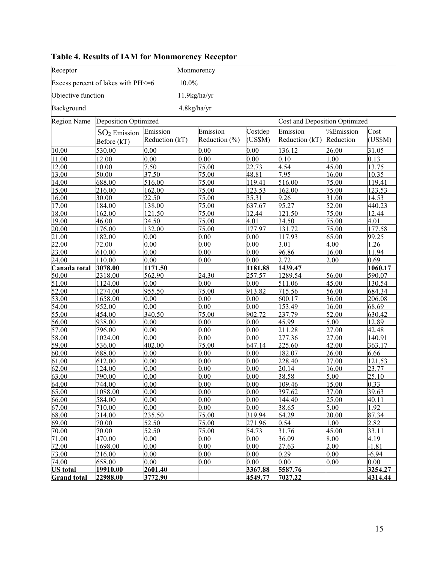| Receptor           | Monmorency                         |                |               |         |                                      |                          |          |  |
|--------------------|------------------------------------|----------------|---------------|---------|--------------------------------------|--------------------------|----------|--|
|                    | Excess percent of lakes with PH<=6 | 10.0%          |               |         |                                      |                          |          |  |
| Objective function |                                    |                | 11.9kg/ha/yr  |         |                                      |                          |          |  |
| Background         |                                    |                | 4.8kg/ha/yr   |         |                                      |                          |          |  |
| <b>Region Name</b> | Deposition Optimized               |                |               |         | <b>Cost and Deposition Optimized</b> |                          |          |  |
|                    | $SO2$ Emission                     | Emission       | Emission      | Costdep | Emission                             | $\overline{\%}$ Emission | Cost     |  |
|                    | Before (kT)                        | Reduction (kT) | Reduction (%) | (US\$M) | Reduction (kT)                       | Reduction                | (USSM)   |  |
| 10.00              | 530.00                             | 0.00           | 0.00          | 0.00    | 136.12                               | 26.00                    | 31.05    |  |
|                    | 12.00                              |                | 0.00          | 0.00    | 0.10                                 | .00                      | 0.13     |  |
| 11.00<br>12.00     | 10.00                              | 0.00<br>7.50   | 75.00         | 22.73   | 4.54                                 | 45.00                    | 13.75    |  |
| 13.00              | 50.00                              | 37.50          | 75.00         | 48.81   | 7.95                                 | 16.00                    | 10.35    |  |
| 14.00              | 688.00                             | 516.00         | 75.00         | 119.41  | 516.00                               | 75.00                    | 119.41   |  |
| 15.00              | 216.00                             | 162.00         | 75.00         | 123.53  | 162.00                               | 75.00                    | 123.53   |  |
| 16.00              | 30.00                              | 22.50          | 75.00         | 35.31   | 9.26                                 | 31.00                    | 14.53    |  |
| 17.00              | 184.00                             | 138.00         | 75.00         | 637.67  | 95.27                                | 52.00                    | 440.23   |  |
| 18.00              | 162.00                             | 121.50         | 75.00         | 12.44   | 121.50                               | 75.00                    | 12.44    |  |
| 19.00              | 46.00                              | 34.50          | 75.00         | 4.01    | 34.50                                | 75.00                    | 4.01     |  |
| 20.00              | 176.00                             | 132.00         | 75.00         | 177.97  | 131.72                               | 75.00                    | 177.58   |  |
| 21.00              | 182.00                             | 0.00           | 0.00          | 0.00    | 117.93                               | 65.00                    | 99.25    |  |
| 22.00              | 72.00                              | 0.00           | 0.00          | 0.00    | 3.01                                 | 4.00                     | 1.26     |  |
| 23.00              | 610.00                             | 0.00           | 0.00          | 0.00    | 96.86                                | 16.00                    | 11.94    |  |
| 24.00              | 110.00                             | 0.00           | 0.00          | 0.00    | 2.72                                 | 2.00                     | 0.69     |  |
| Canada total       | 3078.00                            | 1171.50        |               | 1181.88 | 1439.47                              |                          | 1060.17  |  |
| 50.00              | 2318.00                            | 562.90         | 24.30         | 257.57  | 1289.54                              | 56.00                    | 590.07   |  |
| 51.00              | 1124.00                            | 0.00           | 0.00          | 0.00    | 511.06                               | 45.00                    | 130.54   |  |
| 52.00              | 1274.00                            | 955.50         | 75.00         | 913.82  | 715.56                               | 56.00                    | 684.34   |  |
| 53.00              | 1658.00                            | 0.00           | 0.00          | 0.00    | 600.17                               | 36.00                    | 206.08   |  |
| 54.00              | 952.00                             | 0.00           | 0.00          | 0.00    | 153.49                               | 16.00                    | 68.69    |  |
| 55.00              | 454.00                             | 340.50         | 75.00         | 902.72  | 237.79                               | 52.00                    | 630.42   |  |
| 56.00              | 938.00                             | 0.00           | 0.00          | 0.00    | 45.99                                | 5.00                     | 12.89    |  |
| 57.00              | 796.00                             | 0.00           | 0.00          | 0.00    | 211.28                               | 27.00                    | 42.48    |  |
| 58.00              | 1024.00                            | 0.00           | 0.00          | 0.00    | 277.36                               | 27.00                    | 140.91   |  |
| 59.00              | 536.00                             | 402.00         | 75.00         | 647.14  | 225.60                               | 42.00                    | 363.17   |  |
| 60.00              | 688.00                             | 0.00           | 0.00          | 0.00    | 182.07                               | 26.00                    | 6.66     |  |
| 61.00              | 612.00                             | 0.00           | 0.00          | 0.00    | 228.40                               | 37.00                    | 121.53   |  |
| 62.00              | 124.00                             | 0.00           | 0.00          | 0.00    | 20.14                                | 16.00                    | 23.77    |  |
| 63.00              | 790.00                             | 0.00           | 0.00          | 0.00    | 38.58                                | 5.00                     | 25.10    |  |
| 64.00              | 744.00                             | 0.00           | 0.00          | 0.00    | 109.46                               | 15.00                    | 0.33     |  |
| 65.00              | 1088.00                            | 0.00           | 0.00          | 0.00    | 397.62                               | 37.00                    | 39.63    |  |
| 66.00              | 584.00                             | 0.00           | 0.00          | 0.00    | 144.40                               | 25.00                    | 40.11    |  |
| 67.00              | 710.00                             | 0.00           | 0.00          | 0.00    | 38.65                                | 5.00                     | 1.92     |  |
| 68.00              | 314.00                             | 235.50         | 75.00         | 319.94  | 64.29                                | 20.00                    | 87.34    |  |
| 69.00              | 70.00                              | 52.50          | 75.00         | 271.96  | 0.54                                 | 1.00                     | 2.82     |  |
| 70.00              | 70.00                              | 52.50          | 75.00         | 54.73   | 31.76                                | 45.00                    | 33.11    |  |
| 71.00              | 470.00                             | 0.00           | 0.00          | 0.00    | 36.09                                | 8.00                     | 4.19     |  |
| 72.00              | 1698.00                            | 0.00           | 0.00          | 0.00    | 27.63                                | 2.00                     | $-1.81$  |  |
| 73.00              | 216.00                             | 0.00           | 0.00          | 0.00    | 0.29                                 | 0.00                     | $-6.94$  |  |
| 74.00              | 658.00                             | 0.00           | 0.00          | 0.00    | 0.00                                 | 0.00                     | $0.00\,$ |  |
| <b>US</b> total    | 19910.00                           | 2601.40        |               | 3367.88 | 5587.76                              |                          | 3254.27  |  |
| <b>Grand</b> total | 22988.00                           | 3772.90        |               | 4549.77 | 7027.22                              |                          | 4314.44  |  |

## Table 4. Results of IAM for Monmorency Receptor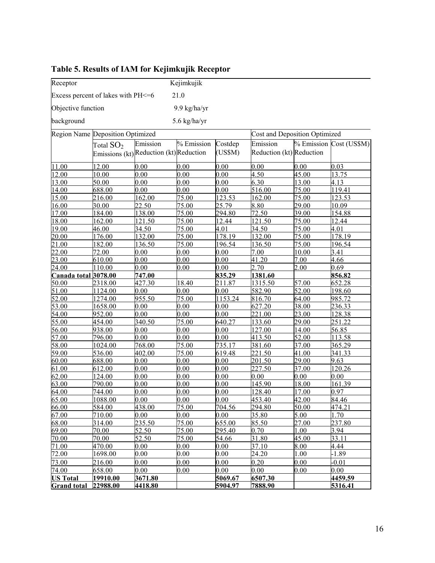| Receptor                         |                                    |                                         | Kejimkujik   |         |                                      |       |         |  |
|----------------------------------|------------------------------------|-----------------------------------------|--------------|---------|--------------------------------------|-------|---------|--|
|                                  | Excess percent of lakes with PH<=6 |                                         | 21.0         |         |                                      |       |         |  |
| Objective function               |                                    |                                         | 9.9 kg/ha/yr |         |                                      |       |         |  |
| background                       |                                    |                                         | 5.6 kg/ha/yr |         |                                      |       |         |  |
| Region Name Deposition Optimized |                                    |                                         |              |         | <b>Cost and Deposition Optimized</b> |       |         |  |
|                                  |                                    |                                         |              |         | % Emission Cost (US\$M)              |       |         |  |
|                                  | Total $SO2$                        | Emission                                | % Emission   | Costdep | Emission                             |       |         |  |
|                                  |                                    | Emissions (kt) Reduction (kt) Reduction |              | (US\$M) | Reduction (kt) Reduction             |       |         |  |
| 11.00                            | 12.00                              | 0.00                                    | 0.00         | 0.00    | 0.00                                 | 0.00  | 0.03    |  |
| 12.00                            | 10.00                              | 0.00                                    | 0.00         | 0.00    | 4.50                                 | 45.00 | 13.75   |  |
| 13.00                            | 50.00                              | 0.00                                    | 0.00         | 0.00    | 6.30                                 | 13.00 | 4.13    |  |
| 14.00                            | 688.00                             | 0.00                                    | 0.00         | 0.00    | 516.00                               | 75.00 | 119.41  |  |
| 15.00                            | 216.00                             | 162.00                                  | 75.00        | 123.53  | 162.00                               | 75.00 | 123.53  |  |
| 16.00                            | 30.00                              | 22.50                                   | 75.00        | 25.79   | 8.80                                 | 29.00 | 10.09   |  |
| 17.00                            | 184.00                             | 138.00                                  | 75.00        | 294.80  | 72.50                                | 39.00 | 154.88  |  |
| 18.00                            | 162.00                             | 121.50                                  | 75.00        | 12.44   | 121.50                               | 75.00 | 12.44   |  |
| 19.00                            | 46.00                              | 34.50                                   | 75.00        | 4.01    | 34.50                                | 75.00 | 4.01    |  |
| 20.00                            | 176.00                             | 132.00                                  | 75.00        | 178.19  | 132.00                               | 75.00 | 178.19  |  |
| 21.00                            | 182.00                             | 136.50                                  | 75.00        | 196.54  | 136.50                               | 75.00 | 196.54  |  |
| 22.00                            | 72.00                              | 0.00                                    | 0.00         | 0.00    | 7.00                                 | 10.00 | 3.41    |  |
| 23.00                            | 610.00                             | 0.00                                    | 0.00         | 0.00    | 41.20                                | 7.00  | 4.66    |  |
| 24.00                            | 110.00                             | 0.00                                    | 0.00         | 0.00    | 2.70                                 | 2.00  | 0.69    |  |
| Canada total 3078.00             |                                    | 747.00                                  |              | 835.29  | 1381.60                              |       | 856.82  |  |
| 50.00                            | 2318.00                            | 427.30                                  | 18.40        | 211.87  | 1315.50                              | 57.00 | 652.28  |  |
| 51.00                            | 1124.00                            | 0.00                                    | 0.00         | 0.00    | 582.90                               | 52.00 | 198.60  |  |
| 52.00                            | 1274.00                            | 955.50                                  | 75.00        | 1153.24 | 816.70                               | 64.00 | 985.72  |  |
| 53.00                            | 1658.00                            | 0.00                                    | 0.00         | 0.00    | 627.20                               | 38.00 | 236.33  |  |
| 54.00                            | 952.00                             | 0.00                                    | 0.00         | 0.00    | 221.00                               | 23.00 | 128.38  |  |
| 55.00                            | 454.00                             | 340.50                                  | 75.00        | 640.27  | 133.60                               | 29.00 | 251.22  |  |
| 56.00                            | 938.00                             | 0.00                                    | 0.00         | 0.00    | 127.00                               | 14.00 | 56.85   |  |
| 57.00                            | 796.00                             | 0.00                                    | 0.00         | 0.00    | 413.50                               | 52.00 | 113.58  |  |
| 58.00                            | 1024.00                            | 768.00                                  | 75.00        | 735.17  | 381.60                               | 37.00 | 365.29  |  |
| 59.00                            | 536.00                             | 402.00                                  | 75.00        | 619.48  | 221.50                               | 41.00 | 341.33  |  |
| 60.00                            | 688.00                             | 0.00                                    | 0.00         | 0.00    | 201.50                               | 29.00 | 9.63    |  |
| 61.00                            | 612.00                             | 0.00                                    | 0.00         | 0.00    | 227.50                               | 37.00 | 120.26  |  |
| 62.00                            | 124.00                             | 0.00                                    | 0.00         | 0.00    | 0.00                                 | 0.00  | 0.00    |  |
| 63.00                            | 790.00                             | 0.00                                    | 0.00         | 0.00    | 145.90                               | 18.00 | 161.39  |  |
| 64.00                            | 744.00                             | 0.00                                    | 0.00         | 0.00    | 128.40                               | 17.00 | 0.97    |  |
| 65.00                            | 1088.00                            | 0.00                                    | 0.00         | 0.00    | 453.40                               | 42.00 | 84.46   |  |
| 66.00                            | 584.00                             | 438.00                                  | 75.00        | 704.56  | 294.80                               | 50.00 | 474.21  |  |
| 67.00                            | 710.00                             | 0.00                                    | 0.00         | 0.00    | 35.80                                | 5.00  | 1.70    |  |
| 68.00                            | 314.00                             | 235.50                                  | 75.00        | 655.00  | 85.50                                | 27.00 | 237.80  |  |
| 69.00                            | 70.00                              | 52.50                                   | 75.00        | 295.40  | 0.70                                 | 1.00  | 3.94    |  |
| 70.00                            | 70.00                              | 52.50                                   | 75.00        | 54.66   | 31.80                                | 45.00 | 33.11   |  |
| 71.00                            | 470.00                             | 0.00                                    | 0.00         | 0.00    | 37.10                                | 8.00  | 4.44    |  |
| 72.00                            | 1698.00                            | 0.00                                    | 0.00         | 0.00    | 24.20                                | 1.00  | $-1.89$ |  |
| 73.00                            | 216.00                             | 0.00                                    | 0.00         | 0.00    | 0.20                                 | 0.00  | $-0.01$ |  |
| 74.00                            | 658.00                             | 0.00                                    | $0.00\,$     | 0.00    | 0.00                                 | 0.00  | 0.00    |  |
| <b>US Total</b>                  | 19910.00                           | 3671.80                                 |              | 5069.67 | 6507.30                              |       | 4459.59 |  |
| <b>Grand total</b>               | 22988.00                           | 4418.80                                 |              | 5904.97 | 7888.90                              |       | 5316.41 |  |

## Table 5. Results of IAM for Kejimkujik Receptor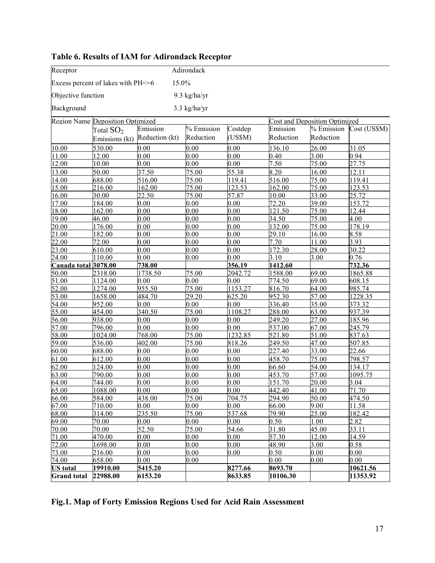| Adirondack<br>Receptor                      |                                  |                |              |              |                                      |                |                      |  |
|---------------------------------------------|----------------------------------|----------------|--------------|--------------|--------------------------------------|----------------|----------------------|--|
| 15.0%<br>Excess percent of lakes with PH<=6 |                                  |                |              |              |                                      |                |                      |  |
| Objective function<br>9.3 kg/ha/yr          |                                  |                |              |              |                                      |                |                      |  |
| Background<br>$3.3$ kg/ha/yr                |                                  |                |              |              |                                      |                |                      |  |
|                                             | Region Name Deposition Optimized |                |              |              | <b>Cost and Deposition Optimized</b> |                |                      |  |
|                                             | Total $\text{SO}_2$              | Emission       | % Emission   | Costdep      | Emission                             | % Emission     | Cost (US\$M)         |  |
|                                             | Emissions (kt)                   | Reduction (kt) | Reduction    | (US\$M)      | Reduction                            | Reduction      |                      |  |
| 10.00                                       | 530.00                           | 0.00           | 0.00         | 0.00         | 136.10                               | 26.00          | 31.05                |  |
| 11.00                                       | 12.00                            | 0.00           | 0.00         | 0.00         | 0.40                                 | 3.00           | 0.94                 |  |
| 12.00                                       | 10.00                            | 0.00           | 0.00         | 0.00         | 7.50                                 | 75.00          | 27.75                |  |
| 13.00                                       | 50.00                            | 37.50          | 75.00        | 55.38        | 8.20                                 | 16.00          | 12.11                |  |
| 14.00                                       | 688.00                           | 516.00         | 75.00        | 119.41       | 516.00                               | 75.00          | 119.41               |  |
| 15.00                                       | 216.00                           | 162.00         | 75.00        | 123.53       | 162.00                               | 75.00          | $\overline{1}$ 23.53 |  |
| 16.00                                       | 30.00                            | 22.50          | 75.00        | 57.87        | 10.00                                | 33.00          | 25.72                |  |
| 17.00                                       | 184.00                           | 0.00           | 0.00         | 0.00         | 72.20                                | 39.00          | 153.72               |  |
| 18.00                                       | 162.00                           | 0.00           | 0.00         | 0.00         | 121.50                               | 75.00          | 12.44                |  |
| 19.00                                       | 46.00                            | 0.00           | 0.00         | 0.00         | 34.50                                | 75.00          | 4.00                 |  |
| 20.00                                       | 176.00                           | 0.00           | 0.00         | 0.00         | 132.00                               | 75.00          | 178.19               |  |
| 21.00                                       | 182.00                           | 0.00           | 0.00         | 0.00         | 29.10                                | 16.00          | 8.58                 |  |
| 22.00                                       | 72.00                            | 0.00           | 0.00         | 0.00         | 7.70                                 | 11.00          | 3.93                 |  |
| 23.00                                       | 610.00                           | 0.00           | 0.00         | 0.00         | 172.30                               | 28.00          | 30.22                |  |
| 24.00                                       | 110.00                           | 0.00           | 0.00         | 0.00         | 3.10                                 | 3.00           | 0.76                 |  |
| Canada total 3078.00                        |                                  | 738.00         |              | 356.19       | 1412.60                              |                | 732.36               |  |
| 50.00                                       | 2318.00                          | 1738.50        | 75.00        | 2042.72      | 1588.00                              | 69.00          | 1865.88              |  |
| 51.00                                       | 1124.00                          | 0.00           | 0.00         | 0.00         | 774.50                               | 69.00          | 608.15               |  |
| 52.00                                       | 1274.00                          | 955.50         | 75.00        | 1153.27      | 816.70                               | 64.00          | 985.74               |  |
| 53.00                                       | 1658.00                          | 484.70         | 29.20        | 625.20       | 952.30                               | 57.00          | 1228.35              |  |
| 54.00                                       | 952.00                           | 0.00           | 0.00         | 0.00         | 336.40                               | 35.00          | 373.32               |  |
| 55.00                                       | 454.00                           | 340.50         | 75.00        | 1108.27      | 288.00                               | 63.00          | 937.39               |  |
| 56.00                                       | 938.00                           | 0.00           | 0.00         | 0.00         | 249.20                               | 27.00          | 185.96               |  |
| 57.00                                       | 796.00                           | 0.00           | 0.00         | 0.00         | 537.00                               | 67.00          | 245.79               |  |
| 58.00                                       | 1024.00                          | 768.00         | 75.00        | 1232.85      | 521.80                               | 51.00          | 837.63               |  |
| 59.00                                       | 536.00                           | 402.00         | 75.00        | 818.26       | 249.50                               | 47.00          | 507.85               |  |
| 60.00                                       | 688.00                           | 0.00           | 0.00         | 0.00         | 227.40                               | 33.00          | 22.66                |  |
| 61.00                                       | 612.00                           | 0.00           | 0.00         | 0.00         | 458.70                               | 75.00          | 798.57               |  |
| 62.00                                       | 124.00                           | 0.00           | 0.00         | 0.00         | 66.60                                | 54.00          | 134.17               |  |
| 63.00                                       | 790.00                           | 0.00           | 0.00         | 0.00         | 453.70                               | 57.00<br>20.00 | 1095.75<br>3.04      |  |
| 64.00<br>65.00                              | 744.00<br>1088.00                | 0.00<br>0.00   | 0.00<br>0.00 | 0.00<br>0.00 | 151.70<br>442.40                     | 41.00          | 71.70                |  |
| 66.00                                       | 584.00                           | 438.00         | 75.00        | 704.75       | 294.90                               | 50.00          | 474.50               |  |
| 67.00                                       | 710.00                           | 0.00           | 0.00         | 0.00         | 66.00                                | 9.00           | 11.58                |  |
| 68.00                                       | 314.00                           | 235.50         | 75.00        | 537.68       | 79.90                                | 25.00          | 182.42               |  |
| 69.00                                       | 70.00                            | 0.00           | 0.00         | 0.00         | 0.50                                 | 1.00           | 2.82                 |  |
| 70.00                                       | 70.00                            | 52.50          | 75.00        | 54.66        | 31.80                                | 45.00          | 33.11                |  |
| 71.00                                       | 470.00                           | 0.00           | 0.00         | 0.00         | $\overline{57.30}$                   | 12.00          | 14.59                |  |
| 72.00                                       | 1698.00                          | 0.00           | 0.00         | 0.00         | 48.90                                | 3.00           | 0.58                 |  |
| 73.00                                       | 216.00                           | 0.00           | 0.00         | 0.00         | 0.50                                 | 0.00           | 0.00                 |  |
| 74.00                                       | 658.00                           | 0.00           | 0.00         |              | 0.00                                 | 0.00           | 0.00                 |  |
| <b>US</b> total                             | 19910.00                         | 5415.20        |              | 8277.66      | 8693.70                              |                | 10621.56             |  |
| <b>Grand</b> total                          | 22988.00                         | 6153.20        |              | 8633.85      | 10106.30                             |                | 11353.92             |  |

## Table 6. Results of IAM for Adirondack Receptor

Fig.1. Map of Forty Emission Regions Used for Acid Rain Assessment